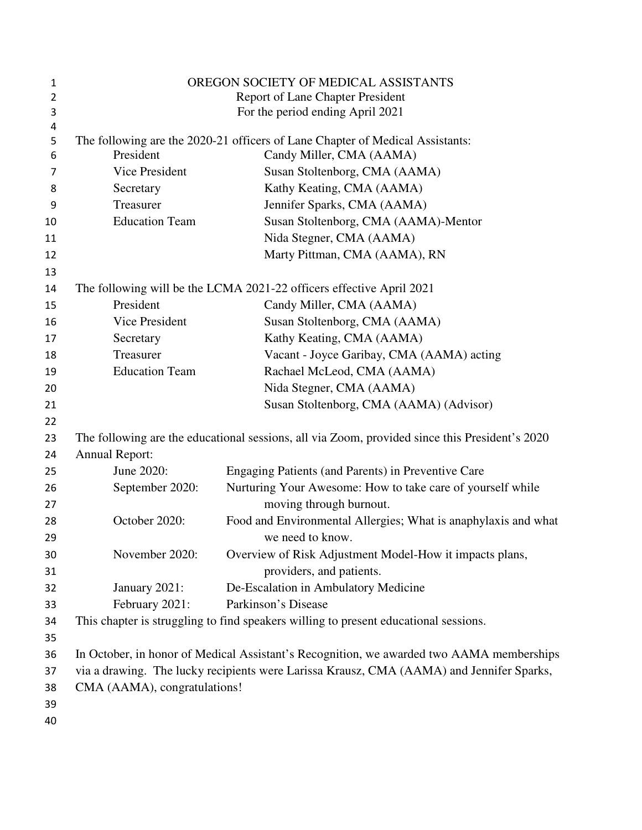| 1              | OREGON SOCIETY OF MEDICAL ASSISTANTS                                                           |                                                                                          |
|----------------|------------------------------------------------------------------------------------------------|------------------------------------------------------------------------------------------|
| $\overline{2}$ | Report of Lane Chapter President                                                               |                                                                                          |
| 3              | For the period ending April 2021                                                               |                                                                                          |
| 4              |                                                                                                |                                                                                          |
| 5              |                                                                                                | The following are the 2020-21 officers of Lane Chapter of Medical Assistants:            |
| 6              | President                                                                                      | Candy Miller, CMA (AAMA)                                                                 |
| 7              | Vice President                                                                                 | Susan Stoltenborg, CMA (AAMA)                                                            |
| 8              | Secretary                                                                                      | Kathy Keating, CMA (AAMA)                                                                |
| 9              | Treasurer                                                                                      | Jennifer Sparks, CMA (AAMA)                                                              |
| 10             | <b>Education Team</b>                                                                          | Susan Stoltenborg, CMA (AAMA)-Mentor                                                     |
| 11             |                                                                                                | Nida Stegner, CMA (AAMA)                                                                 |
| 12             |                                                                                                | Marty Pittman, CMA (AAMA), RN                                                            |
| 13             |                                                                                                |                                                                                          |
| 14             |                                                                                                | The following will be the LCMA 2021-22 officers effective April 2021                     |
| 15             | President                                                                                      | Candy Miller, CMA (AAMA)                                                                 |
| 16             | Vice President                                                                                 | Susan Stoltenborg, CMA (AAMA)                                                            |
| 17             | Secretary                                                                                      | Kathy Keating, CMA (AAMA)                                                                |
| 18             | Treasurer                                                                                      | Vacant - Joyce Garibay, CMA (AAMA) acting                                                |
| 19             | <b>Education Team</b>                                                                          | Rachael McLeod, CMA (AAMA)                                                               |
| 20             |                                                                                                | Nida Stegner, CMA (AAMA)                                                                 |
| 21             |                                                                                                | Susan Stoltenborg, CMA (AAMA) (Advisor)                                                  |
| 22             |                                                                                                |                                                                                          |
| 23             | The following are the educational sessions, all via Zoom, provided since this President's 2020 |                                                                                          |
| 24             | <b>Annual Report:</b>                                                                          |                                                                                          |
| 25             | June 2020:                                                                                     | Engaging Patients (and Parents) in Preventive Care                                       |
| 26             | September 2020:                                                                                | Nurturing Your Awesome: How to take care of yourself while                               |
| 27             |                                                                                                | moving through burnout.                                                                  |
| 28             | October 2020:                                                                                  | Food and Environmental Allergies; What is anaphylaxis and what                           |
| 29             |                                                                                                | we need to know.                                                                         |
| 30             | November 2020:                                                                                 | Overview of Risk Adjustment Model-How it impacts plans,                                  |
| 31             |                                                                                                | providers, and patients.                                                                 |
| 32             | January 2021:                                                                                  | De-Escalation in Ambulatory Medicine                                                     |
| 33             | February 2021:                                                                                 | Parkinson's Disease                                                                      |
| 34             |                                                                                                | This chapter is struggling to find speakers willing to present educational sessions.     |
| 35             |                                                                                                |                                                                                          |
| 36             |                                                                                                | In October, in honor of Medical Assistant's Recognition, we awarded two AAMA memberships |
| 37             | via a drawing. The lucky recipients were Larissa Krausz, CMA (AAMA) and Jennifer Sparks,       |                                                                                          |
| 38             | CMA (AAMA), congratulations!                                                                   |                                                                                          |
| 39             |                                                                                                |                                                                                          |
| 40             |                                                                                                |                                                                                          |
|                |                                                                                                |                                                                                          |